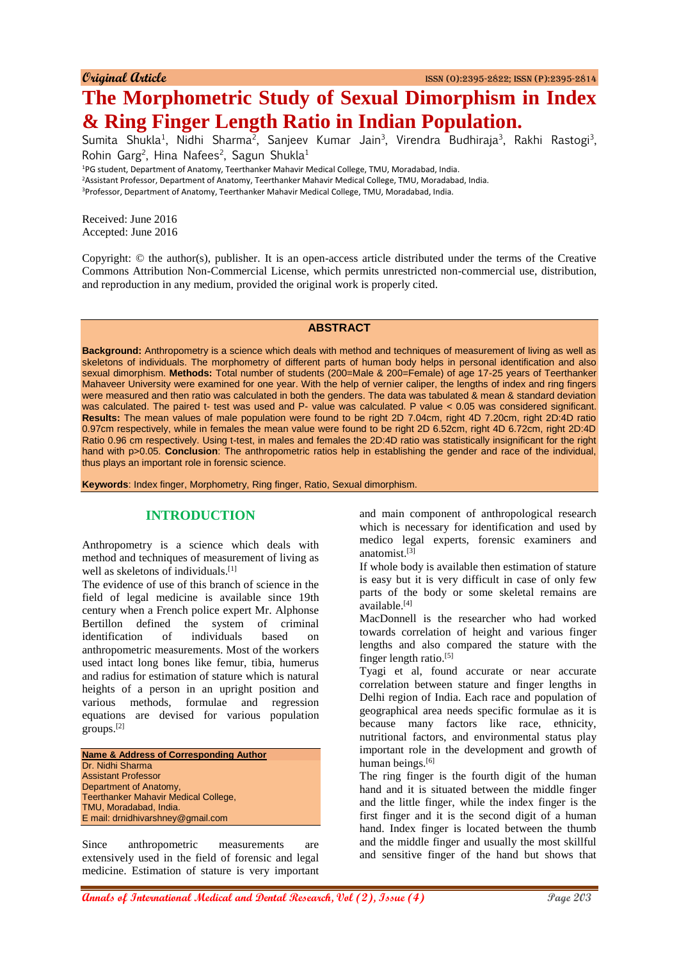# **The Morphometric Study of Sexual Dimorphism in Index & Ring Finger Length Ratio in Indian Population.**

Sumita Shukla<sup>1</sup>, Nidhi Sharma<sup>2</sup>, Sanjeev Kumar Jain<sup>3</sup>, Virendra Budhiraja<sup>3</sup>, Rakhi Rastogi<sup>3</sup>, Rohin Garg<sup>2</sup>, Hina Nafees<sup>2</sup>, Sagun Shukla<sup>1</sup>

<sup>1</sup>PG student, Department of Anatomy, Teerthanker Mahavir Medical College, TMU, Moradabad, India.

<sup>2</sup>Assistant Professor, Department of Anatomy, Teerthanker Mahavir Medical College, TMU, Moradabad, India.

<sup>3</sup>Professor, Department of Anatomy, Teerthanker Mahavir Medical College, TMU, Moradabad, India.

Received: June 2016 Accepted: June 2016

Copyright: © the author(s), publisher. It is an open-access article distributed under the terms of the Creative Commons Attribution Non-Commercial License, which permits unrestricted non-commercial use, distribution, and reproduction in any medium, provided the original work is properly cited.

#### **ABSTRACT**

**Background:** Anthropometry is a science which deals with method and techniques of measurement of living as well as skeletons of individuals. The morphometry of different parts of human body helps in personal identification and also sexual dimorphism. **Methods:** Total number of students (200=Male & 200=Female) of age 17-25 years of Teerthanker Mahaveer University were examined for one year. With the help of vernier caliper, the lengths of index and ring fingers were measured and then ratio was calculated in both the genders. The data was tabulated & mean & standard deviation was calculated. The paired t- test was used and P- value was calculated. P value < 0.05 was considered significant. **Results:** The mean values of male population were found to be right 2D 7.04cm, right 4D 7.20cm, right 2D:4D ratio 0.97cm respectively, while in females the mean value were found to be right 2D 6.52cm, right 4D 6.72cm, right 2D:4D Ratio 0.96 cm respectively. Using t-test, in males and females the 2D:4D ratio was statistically insignificant for the right hand with p>0.05. **Conclusion**: The anthropometric ratios help in establishing the gender and race of the individual, thus plays an important role in forensic science.

**Keywords**: Index finger, Morphometry, Ring finger, Ratio, Sexual dimorphism.

# **INTRODUCTION**

Anthropometry is a science which deals with method and techniques of measurement of living as well as skeletons of individuals.<sup>[1]</sup>

The evidence of use of this branch of science in the field of legal medicine is available since 19th century when a French police expert Mr. Alphonse Bertillon defined the system of criminal identification of individuals based on anthropometric measurements. Most of the workers used intact long bones like femur, tibia, humerus and radius for estimation of stature which is natural heights of a person in an upright position and various methods, formulae and regression equations are devised for various population groups.[2]

**Name & Address of Corresponding Author** Dr. Nidhi Sharma Assistant Professor Department of Anatomy, Teerthanker Mahavir Medical College, TMU, Moradabad, India. E mail: drnidhivarshney@gmail.com

Since anthropometric measurements are extensively used in the field of forensic and legal medicine. Estimation of stature is very important and main component of anthropological research which is necessary for identification and used by medico legal experts, forensic examiners and anatomist.[3]

If whole body is available then estimation of stature is easy but it is very difficult in case of only few parts of the body or some skeletal remains are available.[4]

MacDonnell is the researcher who had worked towards correlation of height and various finger lengths and also compared the stature with the finger length ratio.[5]

Tyagi et al, found accurate or near accurate correlation between stature and finger lengths in Delhi region of India. Each race and population of geographical area needs specific formulae as it is because many factors like race, ethnicity, nutritional factors, and environmental status play important role in the development and growth of human beings.<sup>[6]</sup>

The ring finger is the fourth digit of the human hand and it is situated between the middle finger and the little finger, while the index finger is the first finger and it is the second digit of a human hand. Index finger is located between the thumb and the middle finger and usually the most skillful and sensitive finger of the hand but shows that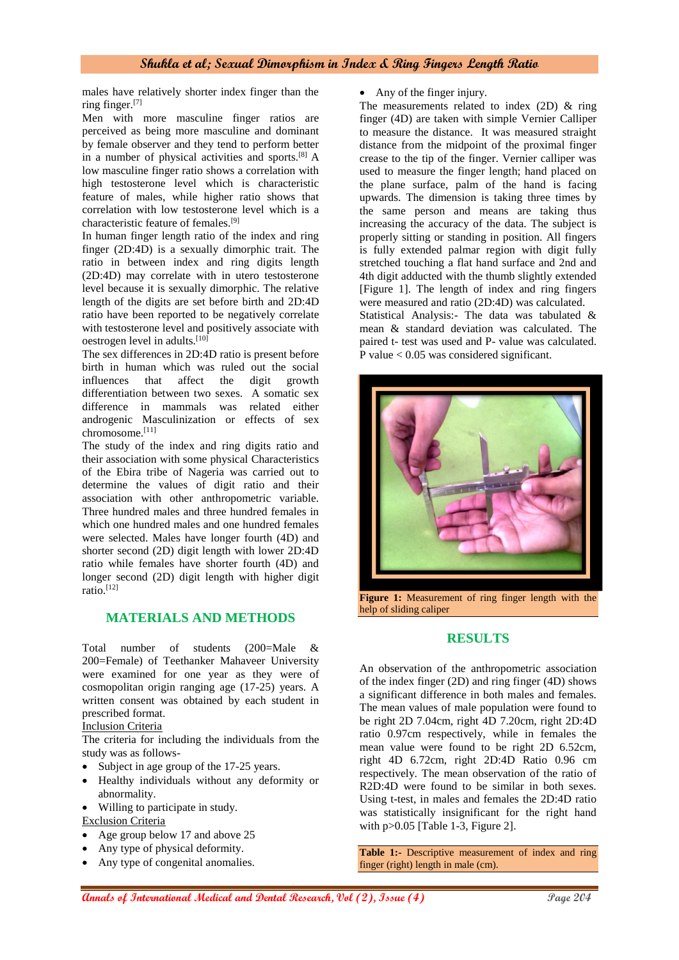#### **Shukla et al; Sexual Dimorphism in Index & Ring Fingers Length Ratio**

males have relatively shorter index finger than the ring finger.[7]

Men with more masculine finger ratios are perceived as being more masculine and dominant by female observer and they tend to perform better in a number of physical activities and sports.[8] A low masculine finger ratio shows a correlation with high testosterone level which is characteristic feature of males, while higher ratio shows that correlation with low testosterone level which is a characteristic feature of females.[9]

In human finger length ratio of the index and ring finger (2D:4D) is a sexually dimorphic trait. The ratio in between index and ring digits length (2D:4D) may correlate with in utero testosterone level because it is sexually dimorphic. The relative length of the digits are set before birth and 2D:4D ratio have been reported to be negatively correlate with testosterone level and positively associate with oestrogen level in adults.<sup>[10]</sup>

The sex differences in 2D:4D ratio is present before birth in human which was ruled out the social influences that affect the digit growth differentiation between two sexes. A somatic sex difference in mammals was related either androgenic Masculinization or effects of sex chromosome.[11]

The study of the index and ring digits ratio and their association with some physical Characteristics of the Ebira tribe of Nageria was carried out to determine the values of digit ratio and their association with other anthropometric variable. Three hundred males and three hundred females in which one hundred males and one hundred females were selected. Males have longer fourth (4D) and shorter second (2D) digit length with lower 2D:4D ratio while females have shorter fourth (4D) and longer second (2D) digit length with higher digit  $ratio.$ <sup>[12]</sup>

# **MATERIALS AND METHODS**

Total number of students (200=Male & 200=Female) of Teethanker Mahaveer University were examined for one year as they were of cosmopolitan origin ranging age (17-25) years. A written consent was obtained by each student in prescribed format.

#### Inclusion Criteria

The criteria for including the individuals from the study was as follows-

- Subject in age group of the 17-25 years.
- Healthy individuals without any deformity or abnormality.
- Willing to participate in study.

# Exclusion Criteria

- Age group below 17 and above 25
- Any type of physical deformity.
- Any type of congenital anomalies.

• Any of the finger injury.

The measurements related to index  $(2D)$  & ring finger (4D) are taken with simple Vernier Calliper to measure the distance. It was measured straight distance from the midpoint of the proximal finger crease to the tip of the finger. Vernier calliper was used to measure the finger length; hand placed on the plane surface, palm of the hand is facing upwards. The dimension is taking three times by the same person and means are taking thus increasing the accuracy of the data. The subject is properly sitting or standing in position. All fingers is fully extended palmar region with digit fully stretched touching a flat hand surface and 2nd and 4th digit adducted with the thumb slightly extended [Figure 1]. The length of index and ring fingers were measured and ratio (2D:4D) was calculated. Statistical Analysis:- The data was tabulated & mean & standard deviation was calculated. The paired t- test was used and P- value was calculated. P value < 0.05 was considered significant.



**Figure 1:** Measurement of ring finger length with the help of sliding caliper

#### **RESULTS**

An observation of the anthropometric association of the index finger (2D) and ring finger (4D) shows a significant difference in both males and females. The mean values of male population were found to be right 2D 7.04cm, right 4D 7.20cm, right 2D:4D ratio 0.97cm respectively, while in females the mean value were found to be right 2D 6.52cm, right 4D 6.72cm, right 2D:4D Ratio 0.96 cm respectively. The mean observation of the ratio of R2D:4D were found to be similar in both sexes. Using t-test, in males and females the 2D:4D ratio was statistically insignificant for the right hand with  $p > 0.05$  [Table 1-3, Figure 2].

**Table 1:-** Descriptive measurement of index and ring finger (right) length in male (cm).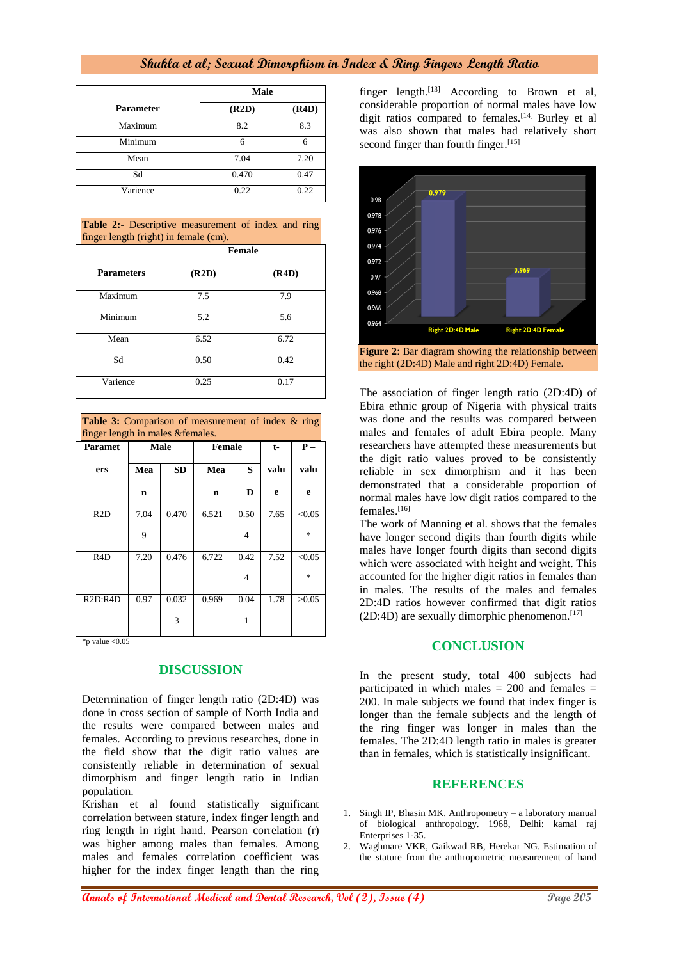# **Shukla et al; Sexual Dimorphism in Index & Ring Fingers Length Ratio**

|                  | Male  |       |  |
|------------------|-------|-------|--|
| <b>Parameter</b> | (R2D) | (R4D) |  |
| Maximum          | 8.2   | 8.3   |  |
| Minimum          | 6     | 6     |  |
| Mean             | 7.04  | 7.20  |  |
| Sd               | 0.470 | 0.47  |  |
| Varience         | 0.22  | 0.22  |  |

**Table 2:**- Descriptive measurement of index and ring finger length (right) in female (cm).

|                   | <b>Female</b> |       |  |  |
|-------------------|---------------|-------|--|--|
| <b>Parameters</b> | (R2D)         | (R4D) |  |  |
| Maximum           | 7.5           | 7.9   |  |  |
| Minimum           | 5.2           | 5.6   |  |  |
| Mean              | 6.52          | 6.72  |  |  |
| Sd                | 0.50          | 0.42  |  |  |
| Varience          | 0.25          | 0.17  |  |  |

Table 3: Comparison of measurement of index & ring finger length in males &females.

| <b>Paramet</b>   | Male |           | <b>Female</b> | $t-$ | $P -$ |                |
|------------------|------|-----------|---------------|------|-------|----------------|
| ers              | Mea  | <b>SD</b> | Mea           | S    | valu  | valu           |
|                  | n    |           | n             | D    | e     | e              |
| R2D              | 7.04 | 0.470     | 6.521         | 0.50 | 7.65  | < 0.05         |
|                  | 9    |           |               | 4    |       | $\frac{1}{26}$ |
| R <sub>4</sub> D | 7.20 | 0.476     | 6.722         | 0.42 | 7.52  | < 0.05         |
|                  |      |           |               | 4    |       | $\frac{1}{26}$ |
| R2D:R4D          | 0.97 | 0.032     | 0.969         | 0.04 | 1.78  | >0.05          |
|                  |      | 3         |               | 1    |       |                |

 $*$ p value < $0.05$ 

# **DISCUSSION**

Determination of finger length ratio (2D:4D) was done in cross section of sample of North India and the results were compared between males and females. According to previous researches, done in the field show that the digit ratio values are consistently reliable in determination of sexual dimorphism and finger length ratio in Indian population.

Krishan et al found statistically significant correlation between stature, index finger length and ring length in right hand. Pearson correlation (r) was higher among males than females. Among males and females correlation coefficient was higher for the index finger length than the ring

finger length.<sup>[13]</sup> According to Brown et al, considerable proportion of normal males have low digit ratios compared to females.<sup>[14]</sup> Burley et al was also shown that males had relatively short second finger than fourth finger.<sup>[15]</sup>



The association of finger length ratio (2D:4D) of Ebira ethnic group of Nigeria with physical traits was done and the results was compared between males and females of adult Ebira people. Many researchers have attempted these measurements but the digit ratio values proved to be consistently reliable in sex dimorphism and it has been demonstrated that a considerable proportion of normal males have low digit ratios compared to the females.<sup>[16]</sup>

The work of Manning et al. shows that the females have longer second digits than fourth digits while males have longer fourth digits than second digits which were associated with height and weight. This accounted for the higher digit ratios in females than in males. The results of the males and females 2D:4D ratios however confirmed that digit ratios  $(2D:4D)$  are sexually dimorphic phenomenon.<sup>[17]</sup>

# **CONCLUSION**

In the present study, total 400 subjects had participated in which males = 200 and females = 200. In male subjects we found that index finger is longer than the female subjects and the length of the ring finger was longer in males than the females. The 2D:4D length ratio in males is greater than in females, which is statistically insignificant.

#### **REFERENCES**

- 1. Singh IP, Bhasin MK. Anthropometry a laboratory manual of biological anthropology. 1968, Delhi: kamal raj Enterprises 1-35.
- 2. Waghmare VKR, Gaikwad RB, Herekar NG. Estimation of the stature from the anthropometric measurement of hand